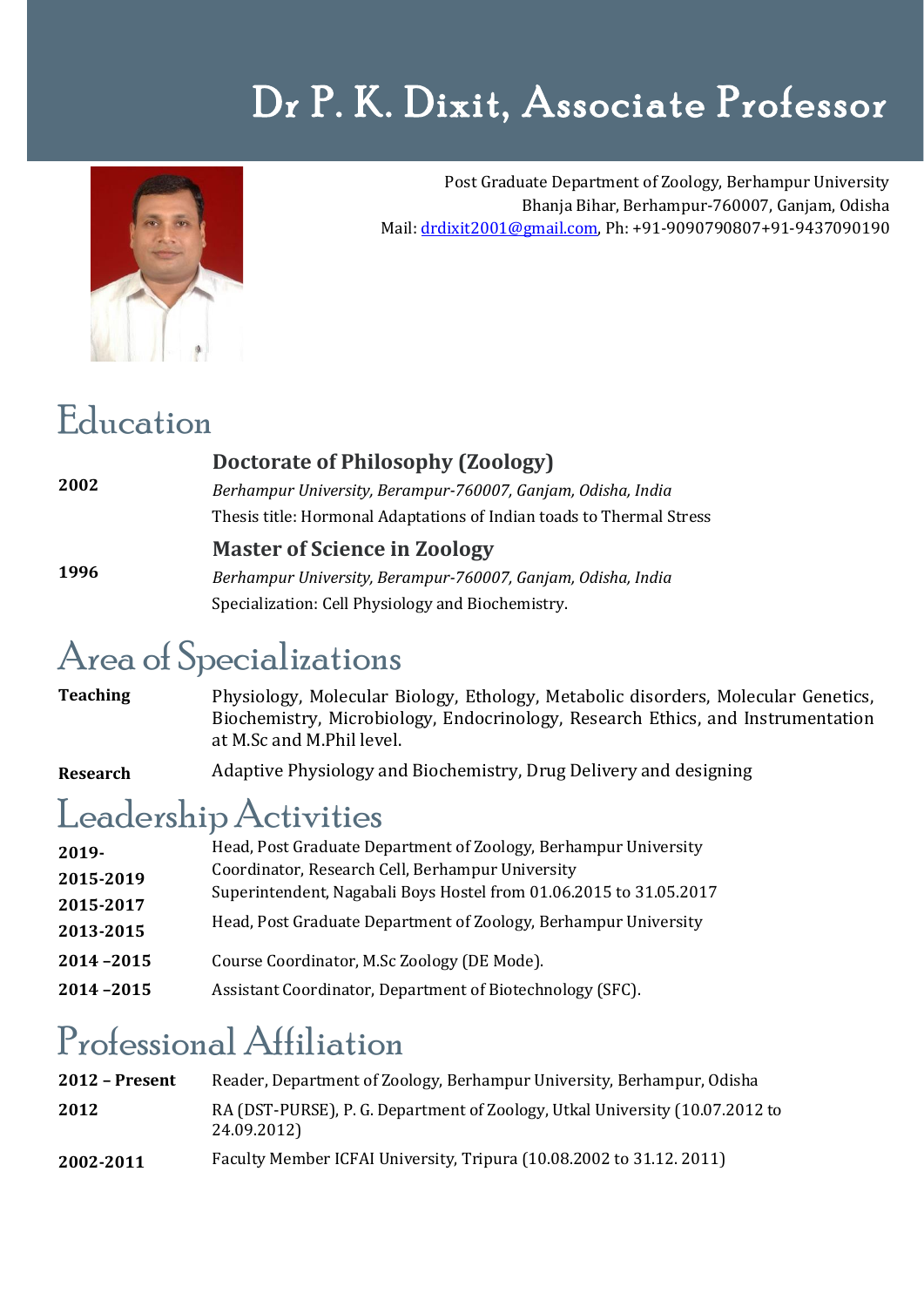# Dr P. K. Dixit, Associate Professor



Post Graduate Department of Zoology, Berhampur University Bhanja Bihar, Berhampur-760007, Ganjam, Odisha Mail[: drdixit2001@gmail.com,](mailto:drdixit2001@gmail.com) Ph: +91-9090790807+91-9437090190

#### Education

| 2002 | Doctorate of Philosophy (Zoology)                                    |
|------|----------------------------------------------------------------------|
|      | Berhampur University, Berampur-760007, Ganjam, Odisha, India         |
|      | Thesis title: Hormonal Adaptations of Indian toads to Thermal Stress |
| 1996 | <b>Master of Science in Zoology</b>                                  |
|      | Berhampur University, Berampur-760007, Ganjam, Odisha, India         |
|      | Specialization: Cell Physiology and Biochemistry.                    |

#### Area of Specializations

**Teaching**  Physiology, Molecular Biology, Ethology, Metabolic disorders, Molecular Genetics, Biochemistry, Microbiology, Endocrinology, Research Ethics, and Instrumentation at M.Sc and M.Phil level.

**Research** Adaptive Physiology and Biochemistry, Drug Delivery and designing

#### Leadership Activities

| $2019 -$  | Head, Post Graduate Department of Zoology, Berhampur University                                                                       |
|-----------|---------------------------------------------------------------------------------------------------------------------------------------|
| 2015-2019 | Coordinator, Research Cell, Berhampur University                                                                                      |
| 2015-2017 | Superintendent, Nagabali Boys Hostel from 01.06.2015 to 31.05.2017<br>Head, Post Graduate Department of Zoology, Berhampur University |
| 2013-2015 |                                                                                                                                       |
| 2014-2015 | Course Coordinator, M.Sc Zoology (DE Mode).                                                                                           |
| 2014-2015 | Assistant Coordinator, Department of Biotechnology (SFC).                                                                             |

# Professional Affiliation

| $2012$ – Present | Reader, Department of Zoology, Berhampur University, Berhampur, Odisha                      |
|------------------|---------------------------------------------------------------------------------------------|
| 2012             | RA (DST-PURSE), P. G. Department of Zoology, Utkal University (10.07.2012 to<br>24.09.2012) |
| 2002-2011        | Faculty Member ICFAI University, Tripura (10.08.2002 to 31.12.2011)                         |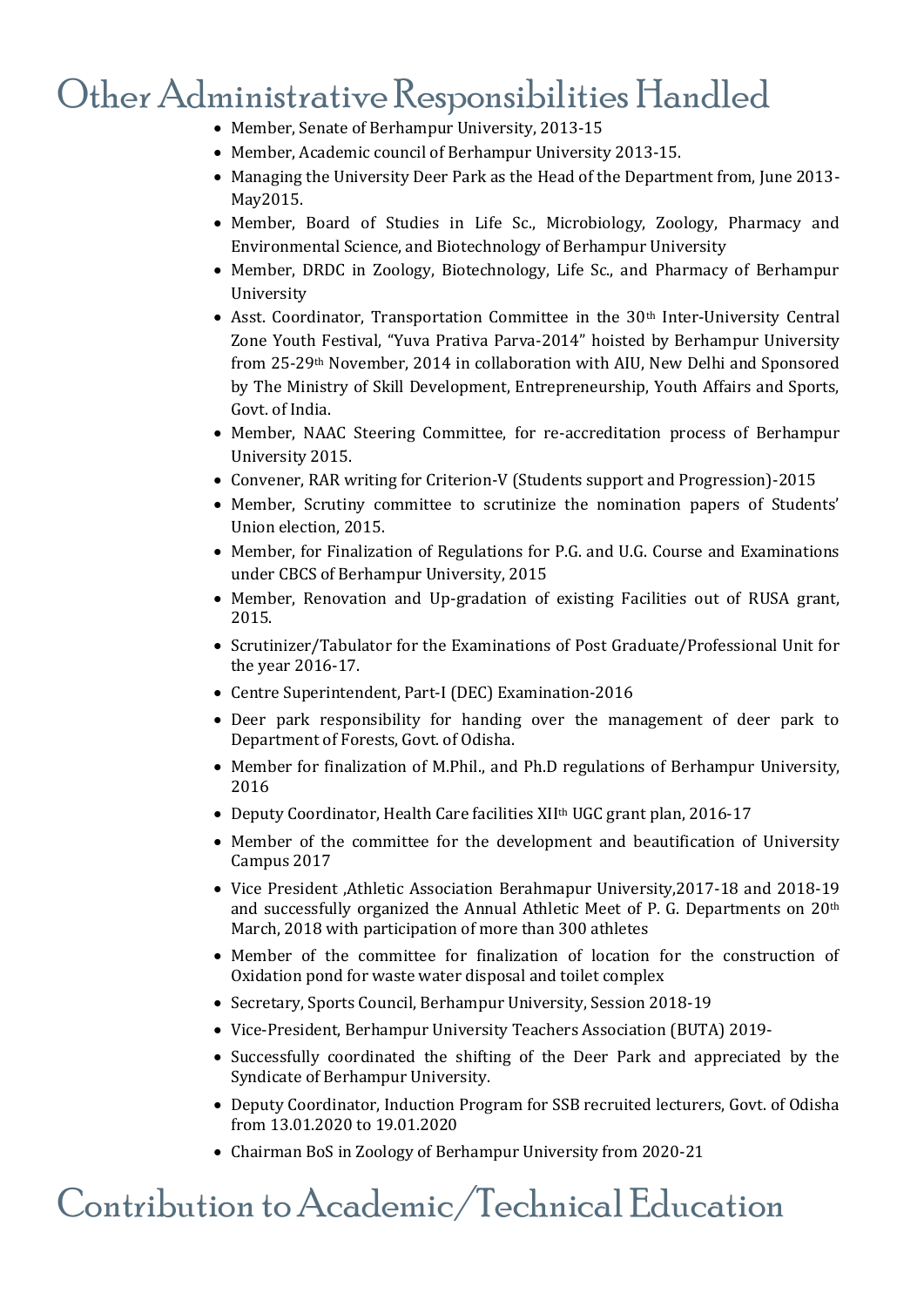### Other Administrative Responsibilities Handled

- Member, Senate of Berhampur University, 2013-15
- Member, Academic council of Berhampur University 2013-15.
- Managing the University Deer Park as the Head of the Department from, June 2013- May2015.
- Member, Board of Studies in Life Sc., Microbiology, Zoology, Pharmacy and Environmental Science, and Biotechnology of Berhampur University
- Member, DRDC in Zoology, Biotechnology, Life Sc., and Pharmacy of Berhampur University
- Asst. Coordinator, Transportation Committee in the  $30<sup>th</sup>$  Inter-University Central Zone Youth Festival, "Yuva Prativa Parva-2014" hoisted by Berhampur University from 25-29th November, 2014 in collaboration with AIU, New Delhi and Sponsored by The Ministry of Skill Development, Entrepreneurship, Youth Affairs and Sports, Govt. of India.
- Member, NAAC Steering Committee, for re-accreditation process of Berhampur University 2015.
- Convener, RAR writing for Criterion-V (Students support and Progression)-2015
- Member, Scrutiny committee to scrutinize the nomination papers of Students' Union election, 2015.
- Member, for Finalization of Regulations for P.G. and U.G. Course and Examinations under CBCS of Berhampur University, 2015
- Member, Renovation and Up-gradation of existing Facilities out of RUSA grant, 2015.
- Scrutinizer/Tabulator for the Examinations of Post Graduate/Professional Unit for the year 2016-17.
- Centre Superintendent, Part-I (DEC) Examination-2016
- Deer park responsibility for handing over the management of deer park to Department of Forests, Govt. of Odisha.
- Member for finalization of M.Phil., and Ph.D regulations of Berhampur University, 2016
- Deputy Coordinator, Health Care facilities XII<sup>th</sup> UGC grant plan, 2016-17
- Member of the committee for the development and beautification of University Campus 2017
- Vice President ,Athletic Association Berahmapur University,2017-18 and 2018-19 and successfully organized the Annual Athletic Meet of P. G. Departments on 20th March, 2018 with participation of more than 300 athletes
- Member of the committee for finalization of location for the construction of Oxidation pond for waste water disposal and toilet complex
- Secretary, Sports Council, Berhampur University, Session 2018-19
- Vice-President, Berhampur University Teachers Association (BUTA) 2019-
- Successfully coordinated the shifting of the Deer Park and appreciated by the Syndicate of Berhampur University.
- Deputy Coordinator, Induction Program for SSB recruited lecturers, Govt. of Odisha from 13.01.2020 to 19.01.2020
- Chairman BoS in Zoology of Berhampur University from 2020-21

#### Contribution to Academic/Technical Education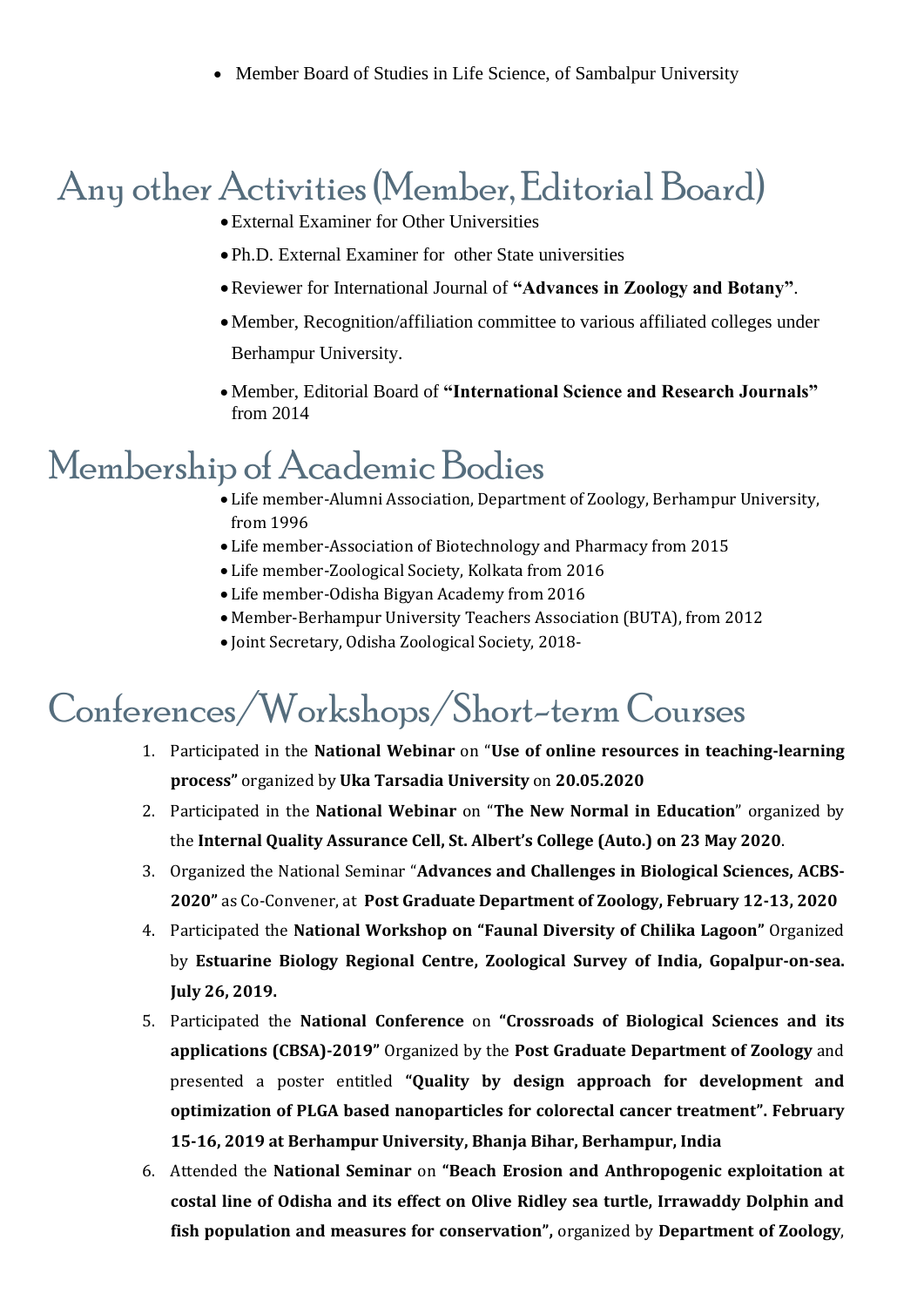• Member Board of Studies in Life Science, of Sambalpur University

## Any other Activities (Member, Editorial Board)

- •External Examiner for Other Universities
- •Ph.D. External Examiner for other State universities
- •Reviewer for International Journal of **"Advances in Zoology and Botany"**.
- •Member, Recognition/affiliation committee to various affiliated colleges under Berhampur University.
- Member, Editorial Board of **"International Science and Research Journals"** from 2014

# Membership of Academic Bodies

- Life member-Alumni Association, Department of Zoology, Berhampur University, from 1996
- Life member-Association of Biotechnology and Pharmacy from 2015
- Life member-Zoological Society, Kolkata from 2016
- Life member-Odisha Bigyan Academy from 2016
- Member-Berhampur University Teachers Association (BUTA), from 2012
- Joint Secretary, Odisha Zoological Society, 2018-

# Conferences/Workshops/Short-term Courses

- 1. Participated in the **National Webinar** on "**Use of online resources in teaching-learning process"** organized by **Uka Tarsadia University** on **20.05.2020**
- 2. Participated in the **National Webinar** on "**The New Normal in Education**" organized by the **Internal Quality Assurance Cell, St. Albert's College (Auto.) on 23 May 2020**.
- 3. Organized the National Seminar "**Advances and Challenges in Biological Sciences, ACBS-2020"** as Co-Convener, at **Post Graduate Department of Zoology, February 12-13, 2020**
- 4. Participated the **National Workshop on "Faunal Diversity of Chilika Lagoon"** Organized by **Estuarine Biology Regional Centre, Zoological Survey of India, Gopalpur-on-sea. July 26, 2019.**
- 5. Participated the **National Conference** on **"Crossroads of Biological Sciences and its applications (CBSA)-2019"** Organized by the **Post Graduate Department of Zoology** and presented a poster entitled **"Quality by design approach for development and optimization of PLGA based nanoparticles for colorectal cancer treatment". February 15-16, 2019 at Berhampur University, Bhanja Bihar, Berhampur, India**
- 6. Attended the **National Seminar** on **"Beach Erosion and Anthropogenic exploitation at costal line of Odisha and its effect on Olive Ridley sea turtle, Irrawaddy Dolphin and fish population and measures for conservation",** organized by **Department of Zoology**,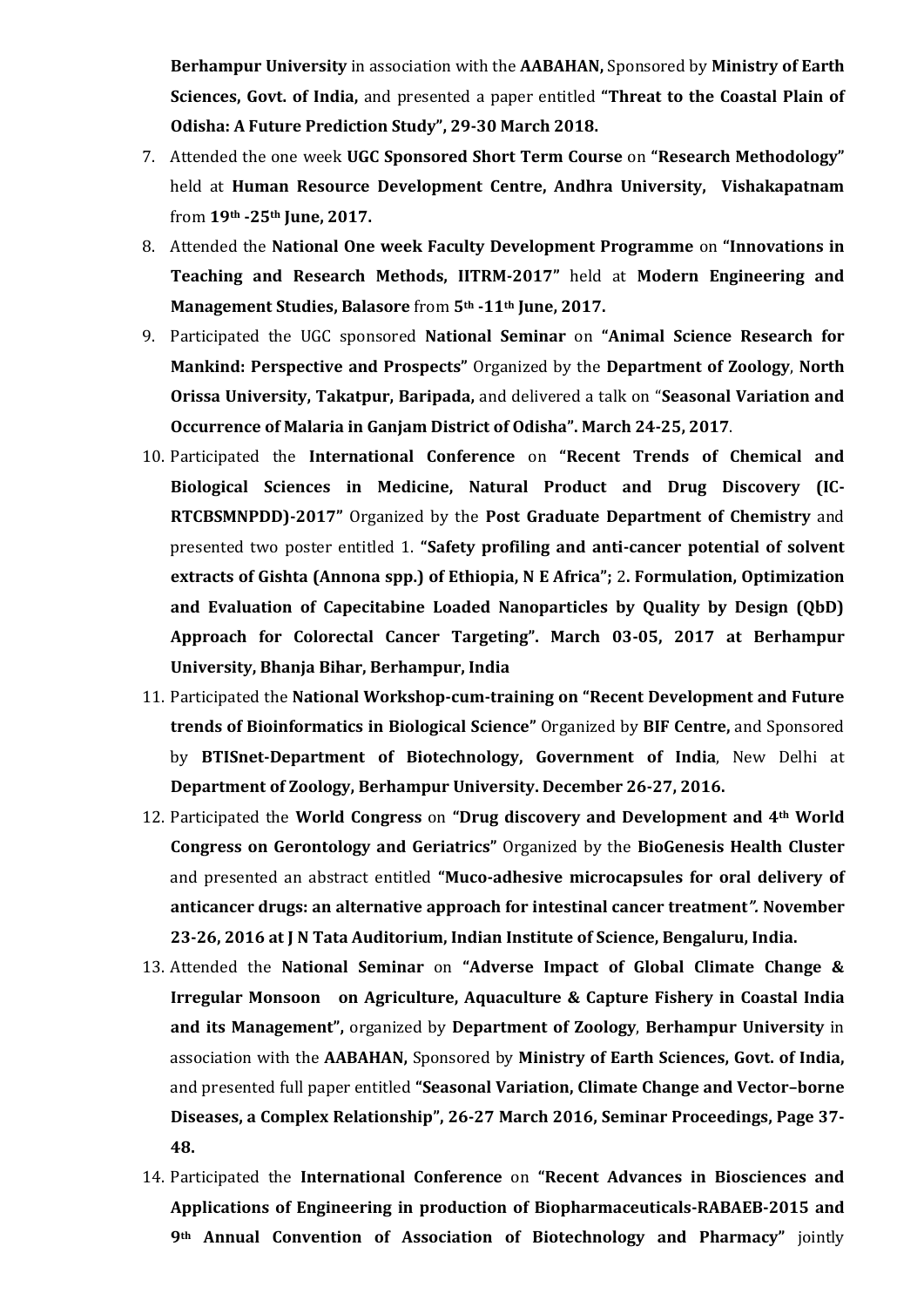**Berhampur University** in association with the **AABAHAN,** Sponsored by **Ministry of Earth Sciences, Govt. of India,** and presented a paper entitled **"Threat to the Coastal Plain of Odisha: A Future Prediction Study", 29-30 March 2018.**

- 7. Attended the one week **UGC Sponsored Short Term Course** on **"Research Methodology"**  held at **Human Resource Development Centre, Andhra University, Vishakapatnam** from **19th -25th June, 2017.**
- 8. Attended the **National One week Faculty Development Programme** on **"Innovations in Teaching and Research Methods, IITRM-2017"** held at **Modern Engineering and Management Studies, Balasore** from **5th -11th June, 2017.**
- 9. Participated the UGC sponsored **National Seminar** on **"Animal Science Research for Mankind: Perspective and Prospects"** Organized by the **Department of Zoology**, **North Orissa University, Takatpur, Baripada,** and delivered a talk on "**Seasonal Variation and Occurrence of Malaria in Ganjam District of Odisha". March 24-25, 2017**.
- 10. Participated the **International Conference** on **"Recent Trends of Chemical and Biological Sciences in Medicine, Natural Product and Drug Discovery (IC-RTCBSMNPDD)-2017"** Organized by the **Post Graduate Department of Chemistry** and presented two poster entitled 1. **"Safety profiling and anti-cancer potential of solvent extracts of Gishta (Annona spp.) of Ethiopia, N E Africa";** 2**. Formulation, Optimization and Evaluation of Capecitabine Loaded Nanoparticles by Quality by Design (QbD) Approach for Colorectal Cancer Targeting". March 03-05, 2017 at Berhampur University, Bhanja Bihar, Berhampur, India**
- 11. Participated the **National Workshop-cum-training on "Recent Development and Future trends of Bioinformatics in Biological Science"** Organized by **BIF Centre,** and Sponsored by **BTISnet-Department of Biotechnology, Government of India**, New Delhi at **Department of Zoology, Berhampur University. December 26-27, 2016.**
- 12. Participated the **World Congress** on **"Drug discovery and Development and 4th World Congress on Gerontology and Geriatrics"** Organized by the **BioGenesis Health Cluster** and presented an abstract entitled **"Muco-adhesive microcapsules for oral delivery of anticancer drugs: an alternative approach for intestinal cancer treatment***".* **November 23-26, 2016 at J N Tata Auditorium, Indian Institute of Science, Bengaluru, India.**
- 13. Attended the **National Seminar** on **"Adverse Impact of Global Climate Change & Irregular Monsoon on Agriculture, Aquaculture & Capture Fishery in Coastal India and its Management",** organized by **Department of Zoology**, **Berhampur University** in association with the **AABAHAN,** Sponsored by **Ministry of Earth Sciences, Govt. of India,**  and presented full paper entitled **"Seasonal Variation, Climate Change and Vector–borne Diseases, a Complex Relationship", 26-27 March 2016, Seminar Proceedings, Page 37- 48.**
- 14. Participated the **International Conference** on **"Recent Advances in Biosciences and Applications of Engineering in production of Biopharmaceuticals-RABAEB-2015 and 9th Annual Convention of Association of Biotechnology and Pharmacy"** jointly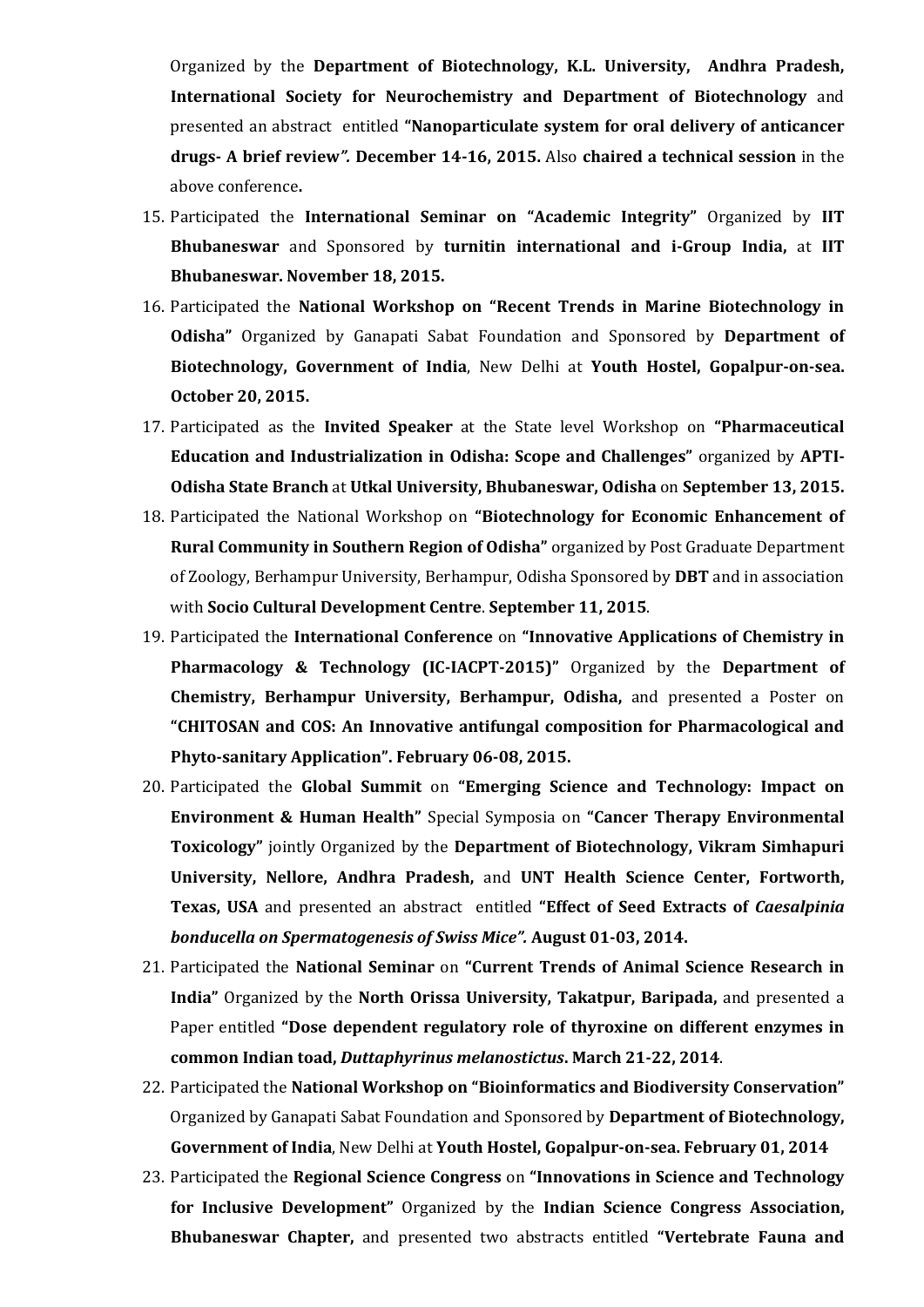Organized by the **Department of Biotechnology, K.L. University, Andhra Pradesh, International Society for Neurochemistry and Department of Biotechnology** and presented an abstract entitled **"Nanoparticulate system for oral delivery of anticancer drugs- A brief review***".* **December 14-16, 2015.** Also **chaired a technical session** in the above conference**.**

- 15. Participated the **International Seminar on "Academic Integrity"** Organized by **IIT Bhubaneswar** and Sponsored by **turnitin international and i-Group India,** at **IIT Bhubaneswar. November 18, 2015.**
- 16. Participated the **National Workshop on "Recent Trends in Marine Biotechnology in Odisha"** Organized by Ganapati Sabat Foundation and Sponsored by **Department of Biotechnology, Government of India**, New Delhi at **Youth Hostel, Gopalpur-on-sea. October 20, 2015.**
- 17. Participated as the **Invited Speaker** at the State level Workshop on **"Pharmaceutical Education and Industrialization in Odisha: Scope and Challenges"** organized by **APTI-Odisha State Branch** at **Utkal University, Bhubaneswar, Odisha** on **September 13, 2015.**
- 18. Participated the National Workshop on **"Biotechnology for Economic Enhancement of Rural Community in Southern Region of Odisha"** organized by Post Graduate Department of Zoology, Berhampur University, Berhampur, Odisha Sponsored by **DBT** and in association with **Socio Cultural Development Centre**. **September 11, 2015**.
- 19. Participated the **International Conference** on **"Innovative Applications of Chemistry in Pharmacology & Technology (IC-IACPT-2015)"** Organized by the **Department of Chemistry, Berhampur University, Berhampur, Odisha,** and presented a Poster on **"CHITOSAN and COS: An Innovative antifungal composition for Pharmacological and Phyto-sanitary Application". February 06-08, 2015.**
- 20. Participated the **Global Summit** on **"Emerging Science and Technology: Impact on Environment & Human Health"** Special Symposia on **"Cancer Therapy Environmental Toxicology"** jointly Organized by the **Department of Biotechnology, Vikram Simhapuri University, Nellore, Andhra Pradesh,** and **UNT Health Science Center, Fortworth, Texas, USA** and presented an abstract entitled **"Effect of Seed Extracts of** *Caesalpinia bonducella on Spermatogenesis of Swiss Mice".* **August 01-03, 2014.**
- 21. Participated the **National Seminar** on **"Current Trends of Animal Science Research in India"** Organized by the **North Orissa University, Takatpur, Baripada,** and presented a Paper entitled **"Dose dependent regulatory role of thyroxine on different enzymes in common Indian toad,** *Duttaphyrinus melanostictus***. March 21-22, 2014**.
- 22. Participated the **National Workshop on "Bioinformatics and Biodiversity Conservation"** Organized by Ganapati Sabat Foundation and Sponsored by **Department of Biotechnology, Government of India**, New Delhi at **Youth Hostel, Gopalpur-on-sea. February 01, 2014**
- 23. Participated the **Regional Science Congress** on **"Innovations in Science and Technology for Inclusive Development"** Organized by the **Indian Science Congress Association, Bhubaneswar Chapter,** and presented two abstracts entitled **"Vertebrate Fauna and**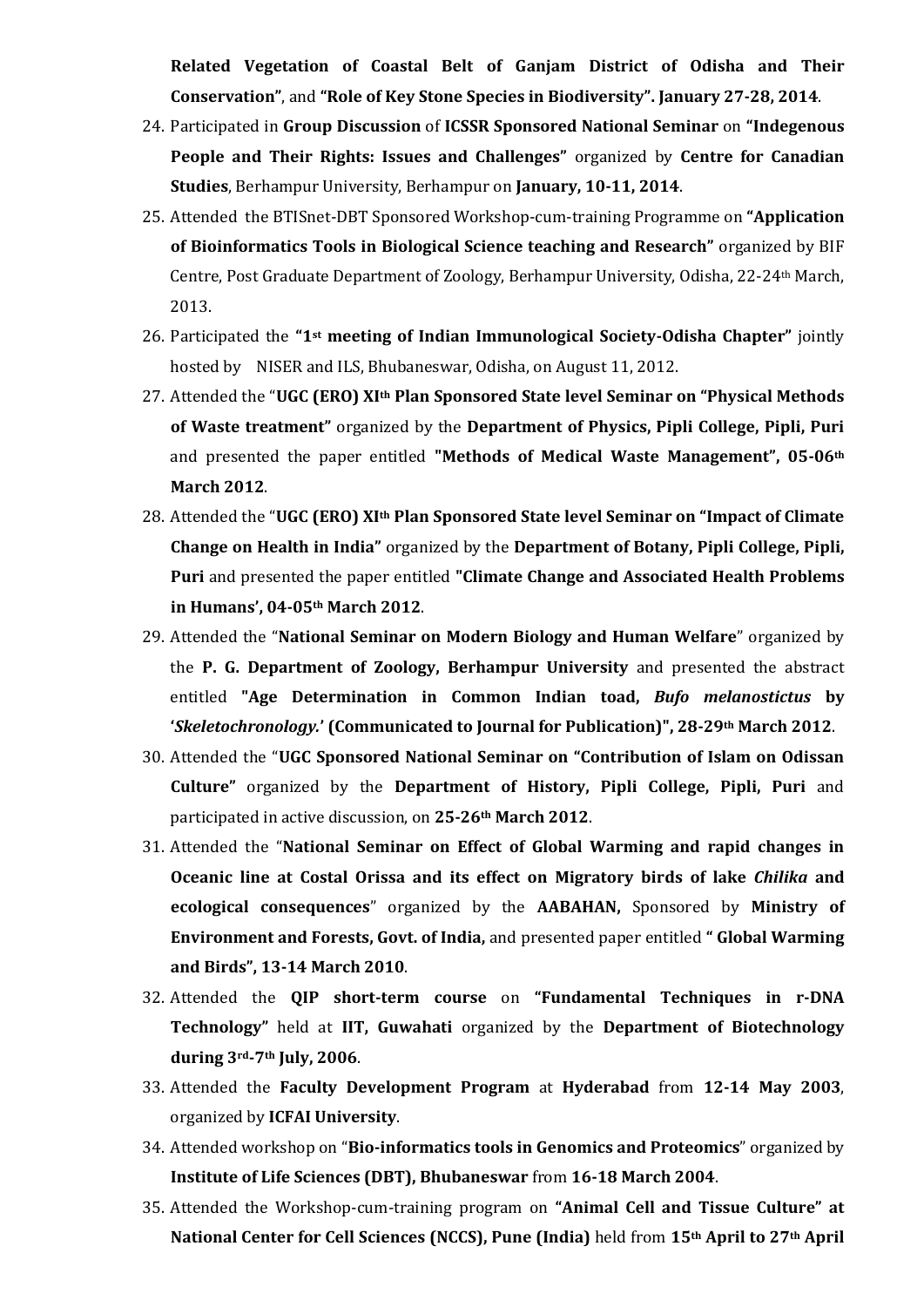**Related Vegetation of Coastal Belt of Ganjam District of Odisha and Their Conservation"**, and **"Role of Key Stone Species in Biodiversity". January 27-28, 2014**.

- 24. Participated in **Group Discussion** of **ICSSR Sponsored National Seminar** on **"Indegenous People and Their Rights: Issues and Challenges"** organized by **Centre for Canadian Studies**, Berhampur University, Berhampur on **January, 10-11, 2014**.
- 25. Attended the BTISnet-DBT Sponsored Workshop-cum-training Programme on **"Application of Bioinformatics Tools in Biological Science teaching and Research"** organized by BIF Centre, Post Graduate Department of Zoology, Berhampur University, Odisha, 22-24th March, 2013.
- 26. Participated the **"1st meeting of Indian Immunological Society-Odisha Chapter"** jointly hosted by NISER and ILS, Bhubaneswar, Odisha, on August 11, 2012.
- 27. Attended the "**UGC (ERO) XIth Plan Sponsored State level Seminar on "Physical Methods of Waste treatment"** organized by the **Department of Physics, Pipli College, Pipli, Puri** and presented the paper entitled **"Methods of Medical Waste Management", 05-06th March 2012**.
- 28. Attended the "**UGC (ERO) XIth Plan Sponsored State level Seminar on "Impact of Climate Change on Health in India"** organized by the **Department of Botany, Pipli College, Pipli, Puri** and presented the paper entitled **"Climate Change and Associated Health Problems in Humans', 04-05th March 2012**.
- 29. Attended the "**National Seminar on Modern Biology and Human Welfare**" organized by the **P. G. Department of Zoology, Berhampur University** and presented the abstract entitled **"Age Determination in Common Indian toad,** *Bufo melanostictus* **by '***Skeletochronology.***' (Communicated to Journal for Publication)", 28-29th March 2012**.
- 30. Attended the "**UGC Sponsored National Seminar on "Contribution of Islam on Odissan Culture"** organized by the **Department of History, Pipli College, Pipli, Puri** and participated in active discussion, on **25-26th March 2012**.
- 31. Attended the "**National Seminar on Effect of Global Warming and rapid changes in Oceanic line at Costal Orissa and its effect on Migratory birds of lake** *Chilika* **and ecological consequences**" organized by the **AABAHAN,** Sponsored by **Ministry of Environment and Forests, Govt. of India,** and presented paper entitled **" Global Warming and Birds", 13-14 March 2010**.
- 32. Attended the **QIP short-term course** on **"Fundamental Techniques in r-DNA Technology"** held at **IIT, Guwahati** organized by the **Department of Biotechnology during 3rd-7th July, 2006**.
- 33. Attended the **Faculty Development Program** at **Hyderabad** from **12-14 May 2003**, organized by **ICFAI University**.
- 34. Attended workshop on "**Bio-informatics tools in Genomics and Proteomics**" organized by **Institute of Life Sciences (DBT), Bhubaneswar** from **16-18 March 2004**.
- 35. Attended the Workshop-cum-training program on **"Animal Cell and Tissue Culture" at National Center for Cell Sciences (NCCS), Pune (India)** held from **15th April to 27th April**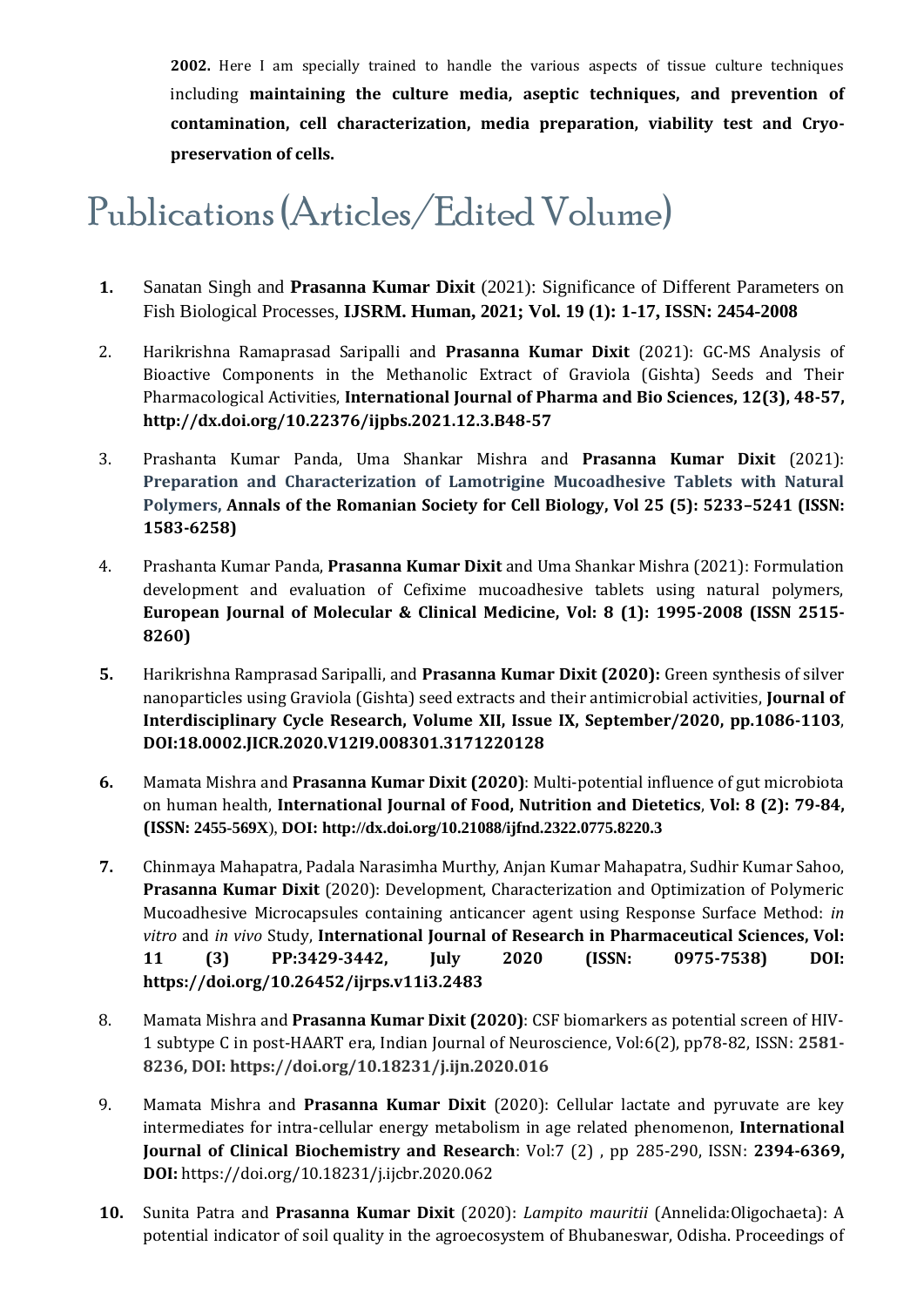**2002.** Here I am specially trained to handle the various aspects of tissue culture techniques including **maintaining the culture media, aseptic techniques, and prevention of contamination, cell characterization, media preparation, viability test and Cryopreservation of cells.**

# Publications (Articles/Edited Volume)

- **1.** Sanatan Singh and **Prasanna Kumar Dixit** (2021): Significance of Different Parameters on Fish Biological Processes, **IJSRM. Human, 2021; Vol. 19 (1): 1-17, ISSN: 2454-2008**
- 2. Harikrishna Ramaprasad Saripalli and **Prasanna Kumar Dixit** (2021): GC-MS Analysis of Bioactive Components in the Methanolic Extract of Graviola (Gishta) Seeds and Their Pharmacological Activities, **International Journal of Pharma and Bio Sciences, 12(3), 48-57, http://dx.doi.org/10.22376/ijpbs.2021.12.3.B48-57**
- 3. Prashanta Kumar Panda, Uma Shankar Mishra and **Prasanna Kumar Dixit** (2021): **Preparation and Characterization of Lamotrigine Mucoadhesive Tablets with Natural Polymers, Annals of the Romanian Society for Cell Biology, Vol 25 (5): 5233–5241 (ISSN: 1583-6258)**
- 4. Prashanta Kumar Panda, **Prasanna Kumar Dixit** and Uma Shankar Mishra (2021): Formulation development and evaluation of Cefixime mucoadhesive tablets using natural polymers, **European Journal of Molecular & Clinical Medicine, Vol: 8 (1): 1995-2008 (ISSN 2515- 8260)**
- **5.** Harikrishna Ramprasad Saripalli, and **Prasanna Kumar Dixit (2020):** Green synthesis of silver nanoparticles using Graviola (Gishta) seed extracts and their antimicrobial activities, **Journal of Interdisciplinary Cycle Research, Volume XII, Issue IX, September/2020, pp.1086-1103**, **DOI:18.0002.JICR.2020.V12I9.008301.3171220128**
- **6.** Mamata Mishra and **Prasanna Kumar Dixit (2020)**: Multi-potential influence of gut microbiota on human health, **International Journal of Food, Nutrition and Dietetics**, **Vol: 8 (2): 79-84, (ISSN: 2455-569X**), **DOI: http://dx.doi.org/10.21088/ijfnd.2322.0775.8220.3**
- **7.** Chinmaya Mahapatra, Padala Narasimha Murthy, Anjan Kumar Mahapatra, Sudhir Kumar Sahoo, **Prasanna Kumar Dixit** (2020): Development, Characterization and Optimization of Polymeric Mucoadhesive Microcapsules containing anticancer agent using Response Surface Method: *in vitro* and *in vivo* Study, **International Journal of Research in Pharmaceutical Sciences, Vol: 11 (3) PP:3429-3442, July 2020 (ISSN: 0975-7538) DOI: https://doi.org/10.26452/ijrps.v11i3.2483**
- 8. Mamata Mishra and **Prasanna Kumar Dixit (2020)**: CSF biomarkers as potential screen of HIV-1 subtype C in post-HAART era, Indian Journal of Neuroscience, Vol:6(2), pp78-82, ISSN: **2581- 8236, DOI: https://doi.org/10.18231/j.ijn.2020.016**
- 9. Mamata Mishra and **Prasanna Kumar Dixit** (2020): Cellular lactate and pyruvate are key intermediates for intra-cellular energy metabolism in age related phenomenon, **International Journal of Clinical Biochemistry and Research**: Vol:7 (2) , pp 285-290, ISSN: **2394-6369, DOI:** https://doi.org/10.18231/j.ijcbr.2020.062
- **10.** Sunita Patra and **Prasanna Kumar Dixit** (2020): *Lampito mauritii* (Annelida:Oligochaeta): A potential indicator of soil quality in the agroecosystem of Bhubaneswar, Odisha. Proceedings of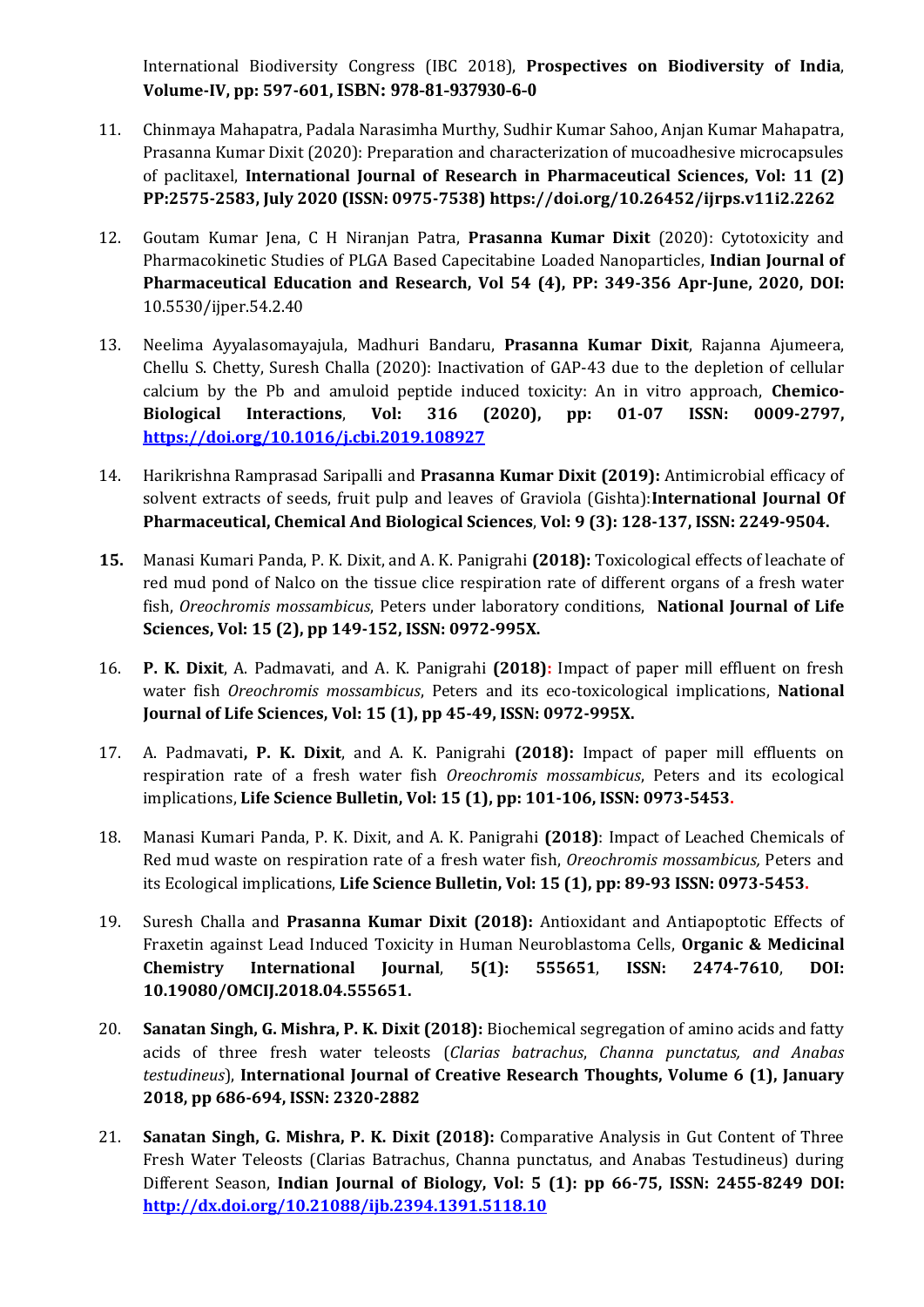International Biodiversity Congress (IBC 2018), **Prospectives on Biodiversity of India**, **Volume-IV, pp: 597-601, ISBN: 978-81-937930-6-0**

- 11. Chinmaya Mahapatra, Padala Narasimha Murthy, Sudhir Kumar Sahoo, Anjan Kumar Mahapatra, Prasanna Kumar Dixit (2020): Preparation and characterization of mucoadhesive microcapsules of paclitaxel, **International Journal of Research in Pharmaceutical Sciences, Vol: 11 (2) PP:2575-2583, July 2020 (ISSN: 0975-7538) <https://doi.org/10.26452/ijrps.v11i2.2262>**
- 12. Goutam Kumar Jena, C H Niranjan Patra, **Prasanna Kumar Dixit** (2020): Cytotoxicity and Pharmacokinetic Studies of PLGA Based Capecitabine Loaded Nanoparticles, **Indian Journal of Pharmaceutical Education and Research, Vol 54 (4), PP: 349-356 Apr-June, 2020, DOI:**  10.5530/ijper.54.2.40
- 13. Neelima Ayyalasomayajula, Madhuri Bandaru, **Prasanna Kumar Dixit**, Rajanna Ajumeera, Chellu S. Chetty, Suresh Challa (2020): Inactivation of GAP-43 due to the depletion of cellular calcium by the Pb and amuloid peptide induced toxicity: An in vitro approach, **Chemico-Biological Interactions**, **Vol: 316 (2020), pp: 01-07 ISSN: 0009-2797, <https://doi.org/10.1016/j.cbi.2019.108927>**
- 14. Harikrishna Ramprasad Saripalli and **Prasanna Kumar Dixit (2019):** Antimicrobial efficacy of solvent extracts of seeds, fruit pulp and leaves of Graviola (Gishta):**International Journal Of Pharmaceutical, Chemical And Biological Sciences**, **Vol: 9 (3): 128-137, ISSN: 2249-9504.**
- **15.** Manasi Kumari Panda, P. K. Dixit, and A. K. Panigrahi **(2018):** Toxicological effects of leachate of red mud pond of Nalco on the tissue clice respiration rate of different organs of a fresh water fish, *Oreochromis mossambicus*, Peters under laboratory conditions, **National Journal of Life Sciences, Vol: 15 (2), pp 149-152, ISSN: 0972-995X.**
- 16. **P. K. Dixit**, A. Padmavati, and A. K. Panigrahi **(2018):** Impact of paper mill effluent on fresh water fish *Oreochromis mossambicus*, Peters and its eco-toxicological implications, **National Journal of Life Sciences, Vol: 15 (1), pp 45-49, ISSN: 0972-995X.**
- 17. A. Padmavati**, P. K. Dixit**, and A. K. Panigrahi **(2018):** Impact of paper mill effluents on respiration rate of a fresh water fish *Oreochromis mossambicus*, Peters and its ecological implications, **Life Science Bulletin, Vol: 15 (1), pp: 101-106, ISSN: 0973-5453.**
- 18. Manasi Kumari Panda, P. K. Dixit, and A. K. Panigrahi **(2018)**: Impact of Leached Chemicals of Red mud waste on respiration rate of a fresh water fish, *Oreochromis mossambicus,* Peters and its Ecological implications, **Life Science Bulletin, Vol: 15 (1), pp: 89-93 ISSN: 0973-5453.**
- 19. Suresh Challa and **Prasanna Kumar Dixit (2018):** Antioxidant and Antiapoptotic Effects of Fraxetin against Lead Induced Toxicity in Human Neuroblastoma Cells, **Organic & Medicinal Chemistry International Journal**, **5(1): 555651**, **ISSN: 2474-7610**, **DOI: 10.19080/OMCIJ.2018.04.555651.**
- 20. **Sanatan Singh, G. Mishra, P. K. Dixit (2018):** Biochemical segregation of amino acids and fatty acids of three fresh water teleosts (*Clarias batrachus*, *Channa punctatus, and Anabas testudineus*), **International Journal of Creative Research Thoughts, Volume 6 (1), January 2018, pp 686-694, ISSN: 2320-2882**
- 21. **Sanatan Singh, G. Mishra, P. K. Dixit (2018):** Comparative Analysis in Gut Content of Three Fresh Water Teleosts (Clarias Batrachus, Channa punctatus, and Anabas Testudineus) during Different Season, **Indian Journal of Biology, Vol: 5 (1): pp 66-75, ISSN: 2455-8249 DOI: <http://dx.doi.org/10.21088/ijb.2394.1391.5118.10>**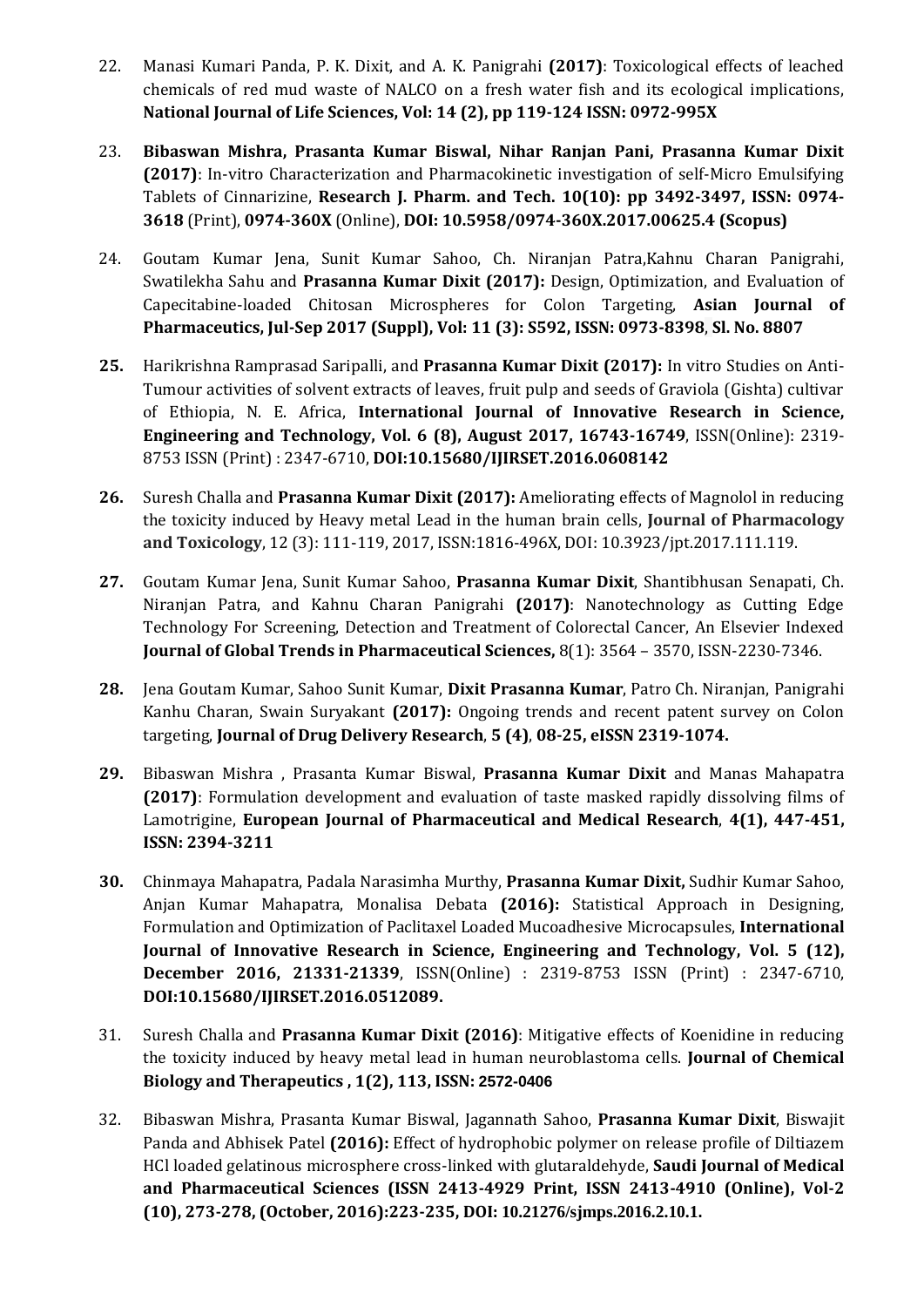- 22. Manasi Kumari Panda, P. K. Dixit, and A. K. Panigrahi **(2017)**: Toxicological effects of leached chemicals of red mud waste of NALCO on a fresh water fish and its ecological implications, **National Journal of Life Sciences, Vol: 14 (2), pp 119-124 ISSN: 0972-995X**
- 23. **Bibaswan Mishra, Prasanta Kumar Biswal, Nihar Ranjan Pani, Prasanna Kumar Dixit (2017)**: In-vitro Characterization and Pharmacokinetic investigation of self-Micro Emulsifying Tablets of Cinnarizine, **Research J. Pharm. and Tech. 10(10): pp 3492-3497, ISSN: 0974- 3618** (Print), **0974-360X** (Online), **DOI: 10.5958/0974-360X.2017.00625.4 (Scopus)**
- 24. Goutam Kumar Jena, Sunit Kumar Sahoo, Ch. Niranjan Patra,Kahnu Charan Panigrahi, Swatilekha Sahu and **Prasanna Kumar Dixit (2017):** Design, Optimization, and Evaluation of Capecitabine-loaded Chitosan Microspheres for Colon Targeting, **Asian Journal of Pharmaceutics, Jul-Sep 2017 (Suppl), Vol: 11 (3): S592, ISSN: 0973-8398**, **Sl. No. 8807**
- **25.** Harikrishna Ramprasad Saripalli, and **Prasanna Kumar Dixit (2017):** In vitro Studies on Anti-Tumour activities of solvent extracts of leaves, fruit pulp and seeds of Graviola (Gishta) cultivar of Ethiopia, N. E. Africa, **International Journal of Innovative Research in Science, Engineering and Technology, Vol. 6 (8), August 2017, 16743-16749**, ISSN(Online): 2319- 8753 ISSN (Print) : 2347-6710, **DOI:10.15680/IJIRSET.2016.0608142**
- **26.** Suresh Challa and **Prasanna Kumar Dixit (2017):** Ameliorating effects of Magnolol in reducing the toxicity induced by Heavy metal Lead in the human brain cells, **Journal of Pharmacology and Toxicology**, 12 (3): 111-119, 2017, ISSN:1816-496X, DOI: 10.3923/jpt.2017.111.119.
- **27.** Goutam Kumar Jena, Sunit Kumar Sahoo, **Prasanna Kumar Dixit**, Shantibhusan Senapati, Ch. Niranjan Patra, and Kahnu Charan Panigrahi **(2017)**: Nanotechnology as Cutting Edge Technology For Screening, Detection and Treatment of Colorectal Cancer, An Elsevier Indexed **Journal of Global Trends in Pharmaceutical Sciences,** 8(1): 3564 – 3570, ISSN-2230-7346.
- **28.** Jena Goutam Kumar, Sahoo Sunit Kumar, **Dixit Prasanna Kumar**, Patro Ch. Niranjan, Panigrahi Kanhu Charan, Swain Suryakant **(2017):** Ongoing trends and recent patent survey on Colon targeting, **Journal of Drug Delivery Research**, **5 (4)**, **08-25, eISSN 2319-1074.**
- **29.** Bibaswan Mishra , Prasanta Kumar Biswal, **Prasanna Kumar Dixit** and Manas Mahapatra **(2017)**: Formulation development and evaluation of taste masked rapidly dissolving films of Lamotrigine, **European Journal of Pharmaceutical and Medical Research**, **4(1), 447-451, ISSN: 2394-3211**
- **30.** Chinmaya Mahapatra, Padala Narasimha Murthy, **Prasanna Kumar Dixit,** Sudhir Kumar Sahoo, Anjan Kumar Mahapatra, Monalisa Debata **(2016):** Statistical Approach in Designing, Formulation and Optimization of Paclitaxel Loaded Mucoadhesive Microcapsules, **International Journal of Innovative Research in Science, Engineering and Technology, Vol. 5 (12), December 2016, 21331-21339**, ISSN(Online) : 2319-8753 ISSN (Print) : 2347-6710, **DOI:10.15680/IJIRSET.2016.0512089.**
- 31. Suresh Challa and **Prasanna Kumar Dixit (2016)**: Mitigative effects of Koenidine in reducing the toxicity induced by heavy metal lead in human neuroblastoma cells. **Journal of Chemical Biology and Therapeutics , 1(2), 113, ISSN: 2572-0406**
- 32. Bibaswan Mishra, Prasanta Kumar Biswal, Jagannath Sahoo, **Prasanna Kumar Dixit**, Biswajit Panda and Abhisek Patel **(2016):** Effect of hydrophobic polymer on release profile of Diltiazem HCl loaded gelatinous microsphere cross-linked with glutaraldehyde, **Saudi Journal of Medical and Pharmaceutical Sciences (ISSN 2413-4929 Print, ISSN 2413-4910 (Online), Vol-2 (10), 273-278, (October, 2016):223-235, DOI: 10.21276/sjmps.2016.2.10.1.**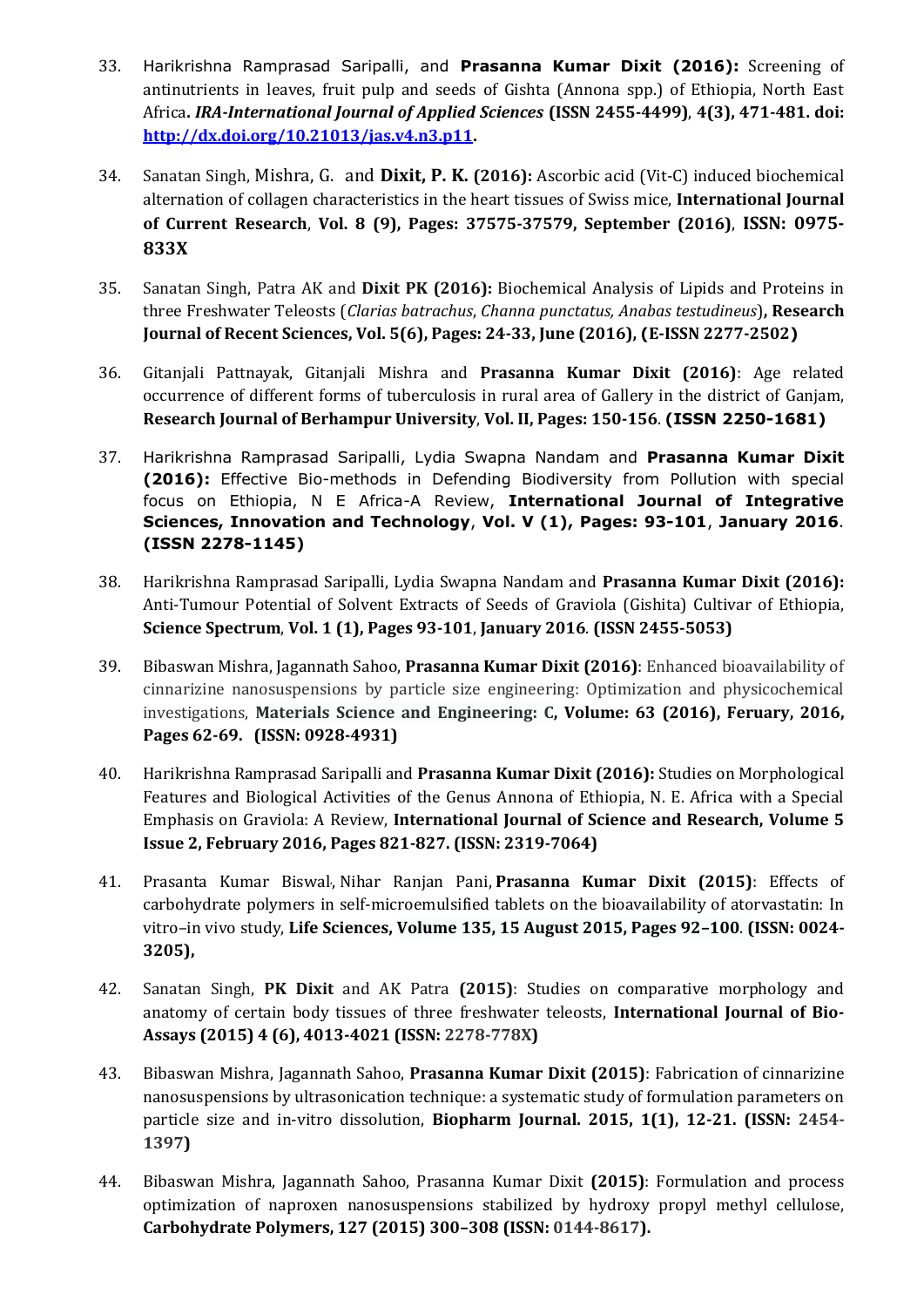- 33. Harikrishna Ramprasad Saripalli, and **Prasanna Kumar Dixit (2016):** Screening of antinutrients in leaves, fruit pulp and seeds of Gishta (Annona spp.) of Ethiopia, North East Africa**.** *IRA-International Journal of Applied Sciences* **(ISSN 2455-4499)**, **4(3), 471-481. doi: [http://dx.doi.org/10.21013/jas.v4.n3.p11.](http://dx.doi.org/10.21013/jas.v4.n3.p11)**
- 34. Sanatan Singh, Mishra, G. and **Dixit, P. K. (2016):** Ascorbic acid (Vit-C) induced biochemical alternation of collagen characteristics in the heart tissues of Swiss mice, **International Journal of Current Research**, **Vol. 8 (9), Pages: 37575-37579, September (2016)**, **ISSN: 0975- 833X**
- 35. Sanatan Singh, Patra AK and **Dixit PK (2016):** Biochemical Analysis of Lipids and Proteins in three Freshwater Teleosts (*Clarias batrachus*, *Channa punctatus, Anabas testudineus*)**, Research Journal of Recent Sciences, Vol. 5(6), Pages: 24-33, June (2016), (E-ISSN 2277-2502)**
- 36. Gitanjali Pattnayak, Gitanjali Mishra and **Prasanna Kumar Dixit (2016)**: Age related occurrence of different forms of tuberculosis in rural area of Gallery in the district of Ganjam, **Research Journal of Berhampur University**, **Vol. II, Pages: 150-156**. **(ISSN 2250-1681)**
- 37. Harikrishna Ramprasad Saripalli, Lydia Swapna Nandam and **Prasanna Kumar Dixit (2016):** Effective Bio-methods in Defending Biodiversity from Pollution with special focus on Ethiopia, N E Africa-A Review, **International Journal of Integrative Sciences, Innovation and Technology**, **Vol. V (1), Pages: 93-101**, **January 2016**. **(ISSN 2278-1145)**
- 38. Harikrishna Ramprasad Saripalli, Lydia Swapna Nandam and **Prasanna Kumar Dixit (2016):**  Anti-Tumour Potential of Solvent Extracts of Seeds of Graviola (Gishita) Cultivar of Ethiopia, **Science Spectrum**, **Vol. 1 (1), Pages 93-101**, **January 2016**. **(ISSN 2455-5053)**
- 39. Bibaswan Mishra, Jagannath Sahoo, **Prasanna Kumar Dixit (2016)**: Enhanced bioavailability of cinnarizine nanosuspensions by particle size engineering: Optimization and physicochemical investigations, **Materials Science and [Engineering:](http://www.sciencedirect.com/science/journal/09284931) C, Volume: 63 (2016), Feruary, 2016, Pages 62-69. (ISSN: 0928-4931)**
- 40. Harikrishna Ramprasad Saripalli and **Prasanna Kumar Dixit (2016):** Studies on Morphological Features and Biological Activities of the Genus Annona of Ethiopia, N. E. Africa with a Special Emphasis on Graviola: A Review, **International Journal of Science and Research, Volume 5 Issue 2, February 2016, Pages 821-827. (ISSN: 2319-7064)**
- 41. [Prasanta Kumar Biswal](http://www.sciencedirect.com/science/article/pii/S0024320515003173)[,](http://www.sciencedirect.com/science/article/pii/S0024320515003173#af0005) [Nihar Ranjan Pani,](http://www.sciencedirect.com/science/article/pii/S0024320515003173) **[Prasanna Kumar Dixit](http://www.sciencedirect.com/science/article/pii/S0024320515003173) (2015)**: Effects of carbohydrate polymers in self-microemulsified tablets on the bioavailability of atorvastatin: In vitro–in vivo study, **Life Sciences, [Volume](http://www.sciencedirect.com/science/journal/00243205/135/supp/C) 135, 15 August 2015, Pages 92–100**. **(ISSN: 0024- 3205),**
- 42. Sanatan Singh, **PK Dixit** and AK Patra **(2015)**: Studies on comparative morphology and anatomy of certain body tissues of three freshwater teleosts, **International Journal of Bio-Assays (2015) 4 (6), 4013-4021 (ISSN: 2278-778X)**
- 43. Bibaswan Mishra, Jagannath Sahoo, **Prasanna Kumar Dixit (2015)**: Fabrication of cinnarizine nanosuspensions by ultrasonication technique: a systematic study of formulation parameters on particle size and in-vitro dissolution, **Biopharm Journal. 2015, 1(1), 12‐21. (ISSN: 2454- 1397)**
- 44. Bibaswan Mishra, Jagannath Sahoo, Prasanna Kumar Dixit **(2015)**: Formulation and process optimization of naproxen nanosuspensions stabilized by hydroxy propyl methyl cellulose, **Carbohydrate Polymers, 127 (2015) 300–308 (ISSN: 0144-8617).**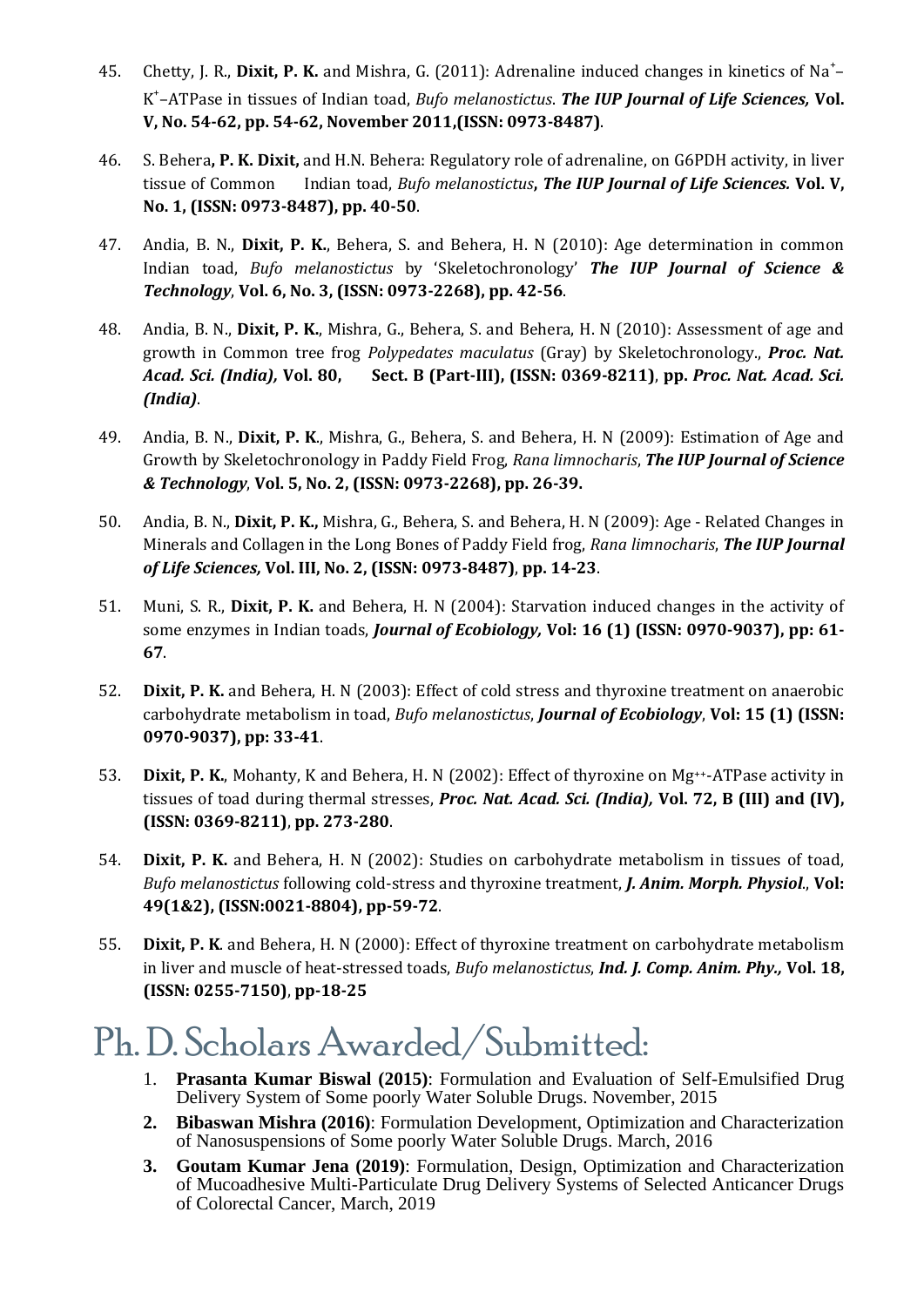- 45. Chetty, J. R., Dixit, P. K. and Mishra, G. (2011): Adrenaline induced changes in kinetics of Na<sup>+</sup>-K + –ATPase in tissues of Indian toad, *Bufo melanostictus*. *The IUP Journal of Life Sciences,* **Vol. V, No. 54-62, pp. 54-62, November 2011,(ISSN: 0973-8487)**.
- 46. S. Behera**, P. K. Dixit,** and H.N. Behera: Regulatory role of adrenaline, on G6PDH activity, in liver tissue of Common Indian toad, *Bufo melanostictus***,** *The IUP Journal of Life Sciences.* **Vol. V, No. 1, (ISSN: 0973-8487), pp. 40-50**.
- 47. Andia, B. N., **Dixit, P. K.**, Behera, S. and Behera, H. N (2010): Age determination in common Indian toad, *Bufo melanostictus* by 'Skeletochronology' *The IUP Journal of Science & Technology*, **Vol. 6, No. 3, (ISSN: 0973-2268), pp. 42-56**.
- 48. Andia, B. N., **Dixit, P. K.**, Mishra, G., Behera, S. and Behera, H. N (2010): Assessment of age and growth in Common tree frog *Polypedates maculatus* (Gray) by Skeletochronology., *Proc. Nat. Acad. Sci. (India),* **Vol. 80, Sect. B (Part-III), (ISSN: 0369-8211)**, **pp.** *Proc. Nat. Acad. Sci. (India)*.
- 49. Andia, B. N., **Dixit, P. K**., Mishra, G., Behera, S. and Behera, H. N (2009): Estimation of Age and Growth by Skeletochronology in Paddy Field Frog, *Rana limnocharis*, *The IUP Journal of Science & Technology*, **Vol. 5, No. 2, (ISSN: 0973-2268), pp. 26-39.**
- 50. Andia, B. N., **Dixit, P. K.,** Mishra, G., Behera, S. and Behera, H. N (2009): Age Related Changes in Minerals and Collagen in the Long Bones of Paddy Field frog, *Rana limnocharis*, *The IUP Journal of Life Sciences,* **Vol. III, No. 2, (ISSN: 0973-8487)**, **pp. 14-23**.
- 51. Muni, S. R., **Dixit, P. K.** and Behera, H. N (2004): Starvation induced changes in the activity of some enzymes in Indian toads, *Journal of Ecobiology,* **Vol: 16 (1) (ISSN: 0970-9037), pp: 61- 67**.
- 52. **Dixit, P. K.** and Behera, H. N (2003): Effect of cold stress and thyroxine treatment on anaerobic carbohydrate metabolism in toad, *Bufo melanostictus*, *Journal of Ecobiology*, **Vol: 15 (1) (ISSN: 0970-9037), pp: 33-41**.
- 53. **Dixit, P. K.**, Mohanty, K and Behera, H. N (2002): Effect of thyroxine on Mg++-ATPase activity in tissues of toad during thermal stresses, *Proc. Nat. Acad. Sci. (India),* **Vol. 72, B (III) and (IV), (ISSN: 0369-8211)**, **pp. 273-280**.
- 54. **Dixit, P. K.** and Behera, H. N (2002): Studies on carbohydrate metabolism in tissues of toad, *Bufo melanostictus* following cold-stress and thyroxine treatment, *J. Anim. Morph. Physiol*., **Vol: 49(1&2), (ISSN:0021-8804), pp-59-72**.
- 55. **Dixit, P. K**. and Behera, H. N (2000): Effect of thyroxine treatment on carbohydrate metabolism in liver and muscle of heat-stressed toads, *Bufo melanostictus*, *Ind. J. Comp. Anim. Phy.,* **Vol. 18, (ISSN: 0255-7150)**, **pp-18-25**

#### Ph.D. Scholars Awarded/Submitted:

- 1. **Prasanta Kumar Biswal (2015)**: Formulation and Evaluation of Self-Emulsified Drug Delivery System of Some poorly Water Soluble Drugs. November, 2015
- **2. Bibaswan Mishra (2016)**: Formulation Development, Optimization and Characterization of Nanosuspensions of Some poorly Water Soluble Drugs. March, 2016
- **3. Goutam Kumar Jena (2019)**: Formulation, Design, Optimization and Characterization of Mucoadhesive Multi-Particulate Drug Delivery Systems of Selected Anticancer Drugs of Colorectal Cancer, March, 2019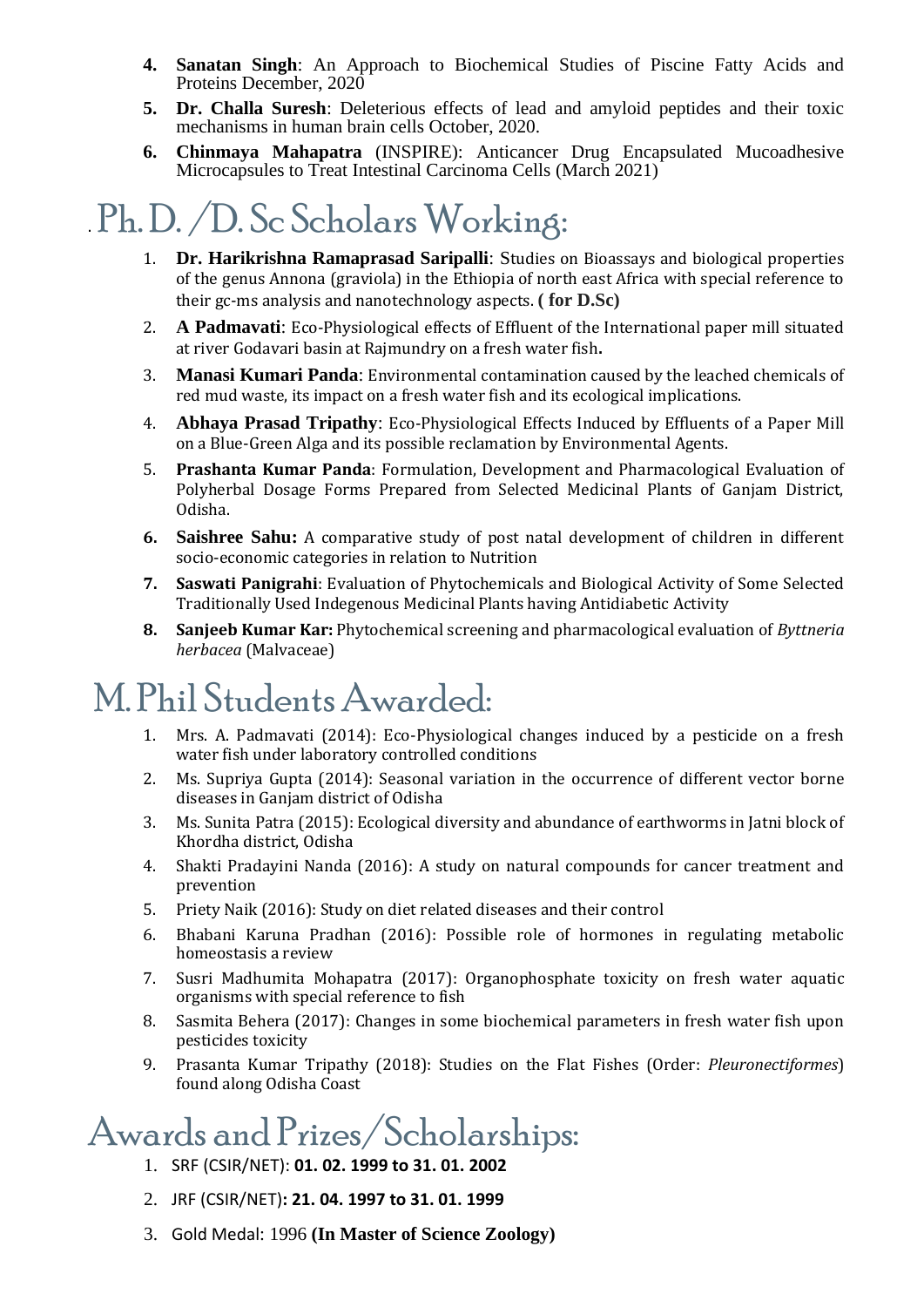- **4. Sanatan Singh**: An Approach to Biochemical Studies of Piscine Fatty Acids and Proteins December, 2020
- **5. Dr. Challa Suresh**: Deleterious effects of lead and amyloid peptides and their toxic mechanisms in human brain cells October, 2020.
- **6. Chinmaya Mahapatra** (INSPIRE): Anticancer Drug Encapsulated Mucoadhesive Microcapsules to Treat Intestinal Carcinoma Cells (March 2021)

# . Ph.D. /D. Sc Scholars Working:

- 1. **Dr. Harikrishna Ramaprasad Saripalli**: Studies on Bioassays and biological properties of the genus Annona (graviola) in the Ethiopia of north east Africa with special reference to their gc-ms analysis and nanotechnology aspects. **( for D.Sc)**
- 2. **A Padmavati**: Eco-Physiological effects of Effluent of the International paper mill situated at river Godavari basin at Rajmundry on a fresh water fish**.**
- 3. **Manasi Kumari Panda**: Environmental contamination caused by the leached chemicals of red mud waste, its impact on a fresh water fish and its ecological implications.
- 4. **Abhaya Prasad Tripathy**: Eco-Physiological Effects Induced by Effluents of a Paper Mill on a Blue-Green Alga and its possible reclamation by Environmental Agents.
- 5. **Prashanta Kumar Panda**: Formulation, Development and Pharmacological Evaluation of Polyherbal Dosage Forms Prepared from Selected Medicinal Plants of Ganjam District, Odisha.
- **6. Saishree Sahu:** A comparative study of post natal development of children in different socio-economic categories in relation to Nutrition
- **7. Saswati Panigrahi**: Evaluation of Phytochemicals and Biological Activity of Some Selected Traditionally Used Indegenous Medicinal Plants having Antidiabetic Activity
- **8. Sanjeeb Kumar Kar:** Phytochemical screening and pharmacological evaluation of *Byttneria herbacea* (Malvaceae)

#### M. Phil Students Awarded:

- 1. Mrs. A. Padmavati (2014): Eco-Physiological changes induced by a pesticide on a fresh water fish under laboratory controlled conditions
- 2. Ms. Supriya Gupta (2014): Seasonal variation in the occurrence of different vector borne diseases in Ganjam district of Odisha
- 3. Ms. Sunita Patra (2015): Ecological diversity and abundance of earthworms in Jatni block of Khordha district, Odisha
- 4. Shakti Pradayini Nanda (2016): A study on natural compounds for cancer treatment and prevention
- 5. Priety Naik (2016): Study on diet related diseases and their control
- 6. Bhabani Karuna Pradhan (2016): Possible role of hormones in regulating metabolic homeostasis a review
- 7. Susri Madhumita Mohapatra (2017): Organophosphate toxicity on fresh water aquatic organisms with special reference to fish
- 8. Sasmita Behera (2017): Changes in some biochemical parameters in fresh water fish upon pesticides toxicity
- 9. Prasanta Kumar Tripathy (2018): Studies on the Flat Fishes (Order: *Pleuronectiformes*) found along Odisha Coast

#### Awards and Prizes/Scholarships:

- 1. SRF (CSIR/NET): **01. 02. 1999 to 31. 01. 2002**
- 2. JRF (CSIR/NET)**: 21. 04. 1997 to 31. 01. 1999**
- 3. Gold Medal: 1996 **(In Master of Science Zoology)**